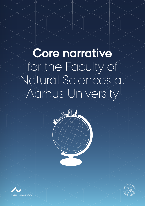# **Core narrative** for the Faculty of Natural Sciences at Aarhus University

**Contract of the Second State** 



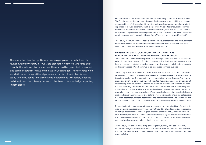The researchers, teachers, politicians, business people and stakeholders who founded Aarhus University in 1928 were pioneers. It was the driving force back then, that knowledge at an international level should be generated, developed and communicated in Aarhus and not just in Copenhagen. Their keywords were – and still are – courage, skill and persistence. Located close to the city - and, today, in the city centre - the university developed along with society, because both the city and the university depend on the life and the knowledge originating in both places.

Pioneers within natural science also established the Faculty of Natural Sciences in 1954. The Faculty was established as a collection of existing departments within the classical science subjects of physics, chemistry, mathematics and geography, and shortly after it expanded to include astronomy and biology. Since it was established, the Faculty has been at the forefront of developing new courses and programs that have later become independent departments, e.g. computer science (from 1971 and from 1998 as an independent department), molecular biology (from 1968) and nanoscience (from 2002).

The Faculty of Natural Sciences has grown via ambitious researchers and curious students have who have moved the boundaries and defined new fields of research and new departments, and thus defined the Faculty as it stands today.

## **PIONEERING SPIRIT, COLLABORATION AND AMBITION FORGE STRONG BASIC RESEARCH IN NATURAL SCIENCE**

The values from 1928 have been passed on: science pioneers, with focus on world-class education and basic research. Thanks to courage, skill, enthusiasm and persistence, subjects and research that started as niche areas have developed into full-fledged subjects and research areas. We will continue to be recognised for these qualities.

The Faculty of Natural Sciences is thus based on basic research, the pursuit of excellence, curiosity and focus on contributing talented graduates and research-based solutions to societal challenges. The pioneering spirit characterises Natural Sciences: We have a strong and ambitious community in which talented students can become an active part of laboratory research, fieldwork and the development of theoretical subjects. We have a flat structure, high ambitions and a strong international orientation. At the Faculty, we strive to be among the best in the world, and we know that great results are created by exceptional and ambitious researchers. We are proud to have a vibrant and collaborative study and research environment, and behind every major result is important collaboration between researchers, students, technicians and administrative staff. The Faculty will define frameworks to support the continued development of strong academic environments.

By working together across departments and centers, we have a tradition of creating degree programs and research environments that would be almost impossible to establish at a single department or center. A good example of this is iNANO, where researchers from many departments and faculties have been forging a joint platform across academic boundaries since 2002. On the basis of our strong core disciplines, we will develop our interdisciplinary collaboration further in the years to come.

At the Faculty, we grow through our pioneering spirit, curiosity, skill, basic research, ground-breaking results and persistence. This requires room for ideas, room for research to thrive, and room to develop new methods of teaching, new ways of working and new research fields.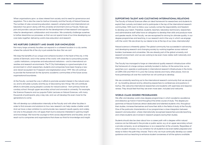When organisations grow, so does interest from society and its need for governance and regulation. This is also the case for Aarhus University and the Faculty of Natural Sciences. The number of rules concerning education, research, employment and international collaboration has grown along with the university environment and our Faculty. Rules support and provide a secure framework for the development of free research and opportunities for development, collaboration and innovation. We constantly challenge ourselves to further streamline our processes, so that we can spend more of our time developing our core tasks together: delivering world-class education and research.

#### **WE NURTURE CURIOSITY AND SHARE OUR KNOWLEDGE**

Not many large university faculties can expand in a coherent location in a city centre, where the cultural life of the city is just outside the door. But we can!

We reap the benefits of our unique and cohesive location in the heart of the city, in the centre of Denmark, and in the centre of the world, with close ties to surrounding society – public institutions, companies and educational institutions – and to international universities and research environments. The IT City Katrinebjerg is a good example of an environment in which researchers, students and companies have been forging a new and vibrant ecosystem for IT research and digitalisation since 1999. We will continue to provide the framework for the dynamic academic communities of the future across organisational boundaries.

At the Faculty, we lead the way in efforts to promote societal interest in the natural science, and to stimulate curiosity and the joy of discovering new things. We will contribute efforts to stimulate young people's curiosity for natural science - from primary/lower secondary school, through upper secondary school and onwards to university. For example, the Science Museums and our popular Public Lectures on Natural Sciences, with many thousands of participants, play a key role, and we will develop this even more for the generations to come.

We will develop our collaboration internally at the Faculty and with other faculties in order to find answers and solutions to how new research can help create a better world. And we have a clear ambition to communicate new research results openly and widely, not only to the people who will apply them but to everyone interested in gaining insight and knowledge. We have the courage to think across departments and faculties, and we reach out to companies and organisations that share our thirst for knowledge and insight.

#### **SUPPORTING TALENT AND CULTIVATING INTERNATIONAL RELATIONS**

The Faculty of Natural Sciences offers an ideal framework for researchers and students to exploit their curiosity and talent and to participate in the top of the international research communities. With room to follow your curiosity comes the responsibility and freedom to develop your talent. Therefore, students, teachers, laboratory technicians, researchers and administrative staff alike have an obligation to develop their skills and produce more and greater results. At the Faculty, we are recognised for striving for ultimate quality: in our degree programmes and teaching, in our research and in the way in which we engage with the world. We are driven by our desire to be at the top of our class, internationally!

Natural science is inherently global. The global community has succeeded in advancing and developing research and changing society by working together across national borders, businesses and universities. We are already part of the global university and research environment, and we are working to be even more visible, both nationally and internationally.

The Faculty has managed to forge an international quality research infrastructure within the framework of a large campus centrally located in Aarhus. At the same time, our researchers own, operate or participate in international research infrastructures in the Arctic, at CERN, ESS and MAX IV in Lund, the Canary Islands and many other places. And we have partnerships all over the world that we will continue to develop.

We are constantly reaching out to the international research community that we are part of - by travelling abroad and by attracting researchers to conferences and positions in Aarhus. We welcome international researchers and students with openness and responsiveness. They should feel that they are even more seen, included and welcome.

#### **WORLD-CLASS DEGREE PROGRAMMES**

We offer and develop world-class degree programmes in which academic excellence and didactics go hand in hand throughout the entire course of study. The degree programmes at Natural Sciences attract dedicated and talented students who, throughout their studies, immerse themselves and hone their skills in the fields of study at the Faculty. One of the particular characteristics of our programmes is close integration between research and education, where internationally recognised researchers provide teaching, and where students are involved in research projects during their studies.

Students should also be clear about how a career path with a degree within natural science can be followed in the private or public sector, e.g. at an upper secondary school, a private company, as an entrepreneur or as a researcher at the university. Regardless of what a student chooses, it is our ambition for all students to be even better prepared and ready to follow the path they choose. That is why we must continually develop our career guidance and our teaching to enhance student awareness of all the options available.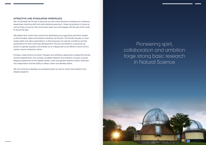### **ATTRACTIVE AND STIMULATING WORKPLACE**

We will develop the Faculty to become an even more attractive workplace for ambitious researchers, teaching staff and administrative personnel – those we produce in-house as well as those we recruit. We will actively reach out and engage with the rest of the world to recruit the best.

We believe that world-class comes from developing and supporting individual careers, so that thoughts, ideas and research initiatives can flourish. The Faculty focuses on clear career paths and clear expectations, so that everyone can see the conditions and the expectations for their continued development. We are committed to a proactive approach to gender equality and diversity as an integral part of our efforts to recruit and to create a good workplace culture.

Pioneers made Aarhus University. Pioneers and ambitious researchers created the Faculty and the departments. And curiosity, excellent research and ambition will give us future degree programmes of the highest quality, more and greater research results, international collaboration and the ability to attract, retain and develop talent.

We will continue to develop our pioneering spirit as well as world-class research and degree programs.

Pioneering spirit, collaboration and ambition forge strong basic research in Natural Science